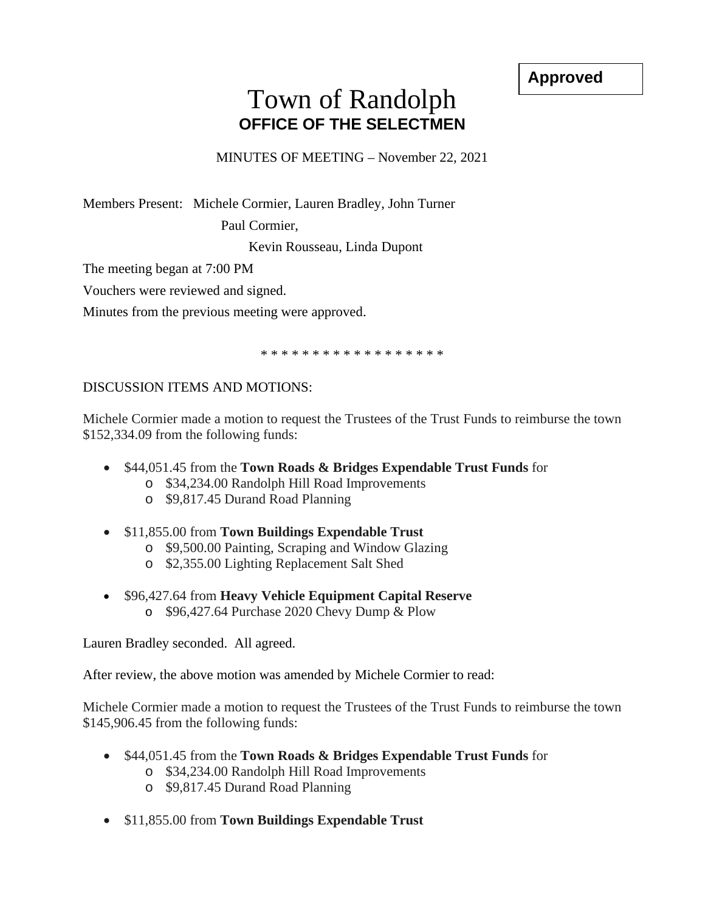**Approved**

## Town of Randolph **OFFICE OF THE SELECTMEN**

MINUTES OF MEETING – November 22, 2021

Members Present: Michele Cormier, Lauren Bradley, John Turner

Paul Cormier,

Kevin Rousseau, Linda Dupont

The meeting began at 7:00 PM

Vouchers were reviewed and signed.

Minutes from the previous meeting were approved.

\* \* \* \* \* \* \* \* \* \* \* \* \* \* \* \* \* \*

## DISCUSSION ITEMS AND MOTIONS:

Michele Cormier made a motion to request the Trustees of the Trust Funds to reimburse the town \$152,334.09 from the following funds:

- \$44,051.45 from the **Town Roads & Bridges Expendable Trust Funds** for
	- o \$34,234.00 Randolph Hill Road Improvements
	- o \$9,817.45 Durand Road Planning
- \$11,855.00 from **Town Buildings Expendable Trust**
	- o \$9,500.00 Painting, Scraping and Window Glazing
	- o \$2,355.00 Lighting Replacement Salt Shed
- \$96,427.64 from **Heavy Vehicle Equipment Capital Reserve** o \$96,427.64 Purchase 2020 Chevy Dump & Plow

Lauren Bradley seconded. All agreed.

After review, the above motion was amended by Michele Cormier to read:

Michele Cormier made a motion to request the Trustees of the Trust Funds to reimburse the town \$145,906.45 from the following funds:

- \$44,051.45 from the **Town Roads & Bridges Expendable Trust Funds** for
	- o \$34,234.00 Randolph Hill Road Improvements
	- o \$9,817.45 Durand Road Planning
- \$11,855.00 from **Town Buildings Expendable Trust**